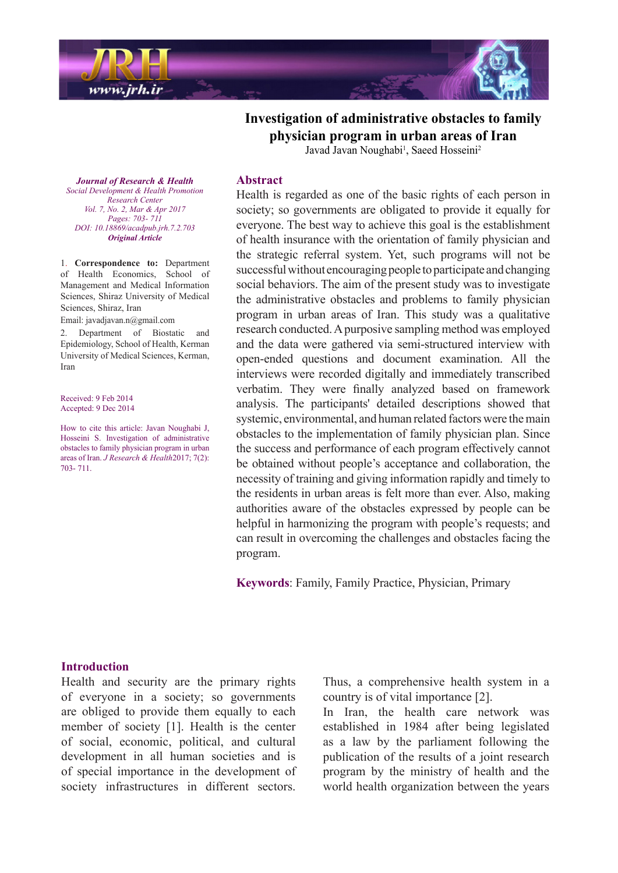

**Investigation of administrative obstacles to family Industry-** physician program in urban areas of Iran

Javad Javan Noughabi<sup>1</sup>, Saeed Hosseini<sup>2</sup>

**Journal of Research & Health** *Social Development & Health Promotion Center Research Vol. 7, No. 2, Mar & Apr 2017 Pages*: 703- 711 *DOI*: 10.18869/acadpub.jrh.7.2.703 *Article Original*

1. **Correspondence** to: Department of Health Economics, School of Management and Medical Information Sciences, Shiraz University of Medical Sciences, Shiraz, Iran

Email: javadjavan.n@gmail.com

2. Department of Biostatic and Epidemiology, School of Health, Kerman University of Medical Sciences, Kerman. Iran

Received: 9 Feb 2014 Accepted: 9 Dec 2014

How to cite this article: Javan Noughabi J, Hosseini S. Investigation of administrative obstacles to family physician program in urban areas of Iran. *J Research & Health* 2017; 7(2): 703-711.

### **Abstract**

Health is regarded as one of the basic rights of each person in society; so governments are obligated to provide it equally for everyone. The best way to achieve this goal is the establishment of health insurance with the orientation of family physician and the strategic referral system. Yet, such programs will not be successful without encouraging people to participate and changing social behaviors. The aim of the present study was to investigate the administrative obstacles and problems to family physician program in urban areas of Iran. This study was a qualitative research conducted. A purposive sampling method was employed and the data were gathered via semi-structured interview with open-ended questions and document examination. All the interviews were recorded digitally and immediately transcribed verbatim. They were finally analyzed based on framework analysis. The participants' detailed descriptions showed that systemic, environmental, and human related factors were the main obstacles to the implementation of family physician plan. Since the success and performance of each program effectively cannot be obtained without people's acceptance and collaboration, the necessity of training and giving information rapidly and timely to the residents in urban areas is felt more than ever. Also, making authorities aware of the obstacles expressed by people can be helpful in harmonizing the program with people's requests; and can result in overcoming the challenges and obstacles facing the .program

Keywords: Family, Family Practice, Physician, Primary

### **Introduction**

Health and security are the primary rights of everyone in a society; so governments are obliged to provide them equally to each member of society  $[1]$ . Health is the center of social, economic, political, and cultural development in all human societies and is of special importance in the development of society infrastructures in different sectors.

Thus, a comprehensive health system in a country is of vital importance  $[2]$ .

In Iran, the health care network was established in 1984 after being legislated as a law by the parliament following the publication of the results of a joint research program by the ministry of health and the world health organization between the years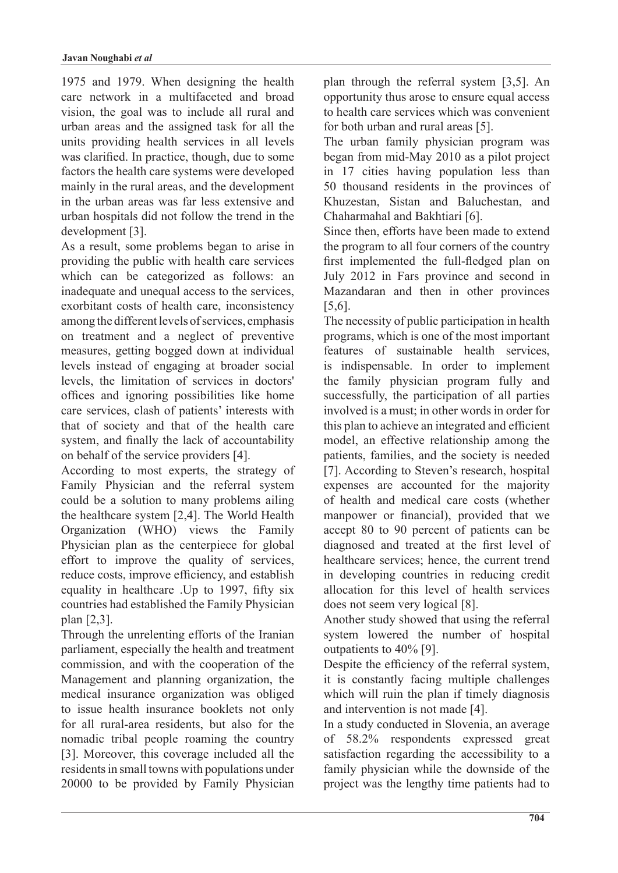1975 and 1979. When designing the health care network in a multifaceted and broad vision, the goal was to include all rural and urban areas and the assigned task for all the units providing health services in all levels was clarified. In practice, though, due to some factors the health care systems were developed mainly in the rural areas, and the development in the urban areas was far less extensive and urban hospitals did not follow the trend in the development [3].

As a result, some problems began to arise in providing the public with health care services which can be categorized as follows: an inadequate and unequal access to the services, exorbitant costs of health care, inconsistency among the different levels of services, emphasis on treatment and a neglect of preventive measures, getting bogged down at individual levels instead of engaging at broader social levels, the limitation of services in doctors' offices and ignoring possibilities like home care services, clash of patients' interests with that of society and that of the health care system, and finally the lack of accountability on behalf of the service providers  $[4]$ .

According to most experts, the strategy of Family Physician and the referral system could be a solution to many problems ailing the health care system  $[2,4]$ . The World Health Organization (WHO) views the Family Physician plan as the centerpiece for global effort to improve the quality of services, reduce costs, improve efficiency, and establish equality in healthcare . Up to 1997, fifty six countries had established the Family Physician plan [2,3].

Through the unrelenting efforts of the Iranian parliament, especially the health and treatment commission, and with the cooperation of the Management and planning organization, the medical insurance organization was obliged to issue health insurance booklets not only for all rural-area residents, but also for the nomadic tribal people roaming the country [3]. Moreover, this coverage included all the residents in small towns with populations under 20000 to be provided by Family Physician plan through the referral system  $[3,5]$ . An opportunity thus arose to ensure equal access to health care services which was convenient for both urban and rural areas [5].

The urban family physician program was began from mid-May  $2010$  as a pilot project in  $17$  cities having population less than 50 thousand residents in the provinces of Khuzestan, Sistan and Baluchestan, and Chaharmahal and Bakhtiari [6].

Since then, efforts have been made to extend the program to all four corners of the country first implemented the full-fledged plan on July 2012 in Fars province and second in Mazandaran and then in other provinces .[5,6]

The necessity of public participation in health programs, which is one of the most important features of sustainable health services. is indispensable. In order to implement the family physician program fully and successfully, the participation of all parties involved is a must; in other words in order for this plan to achieve an integrated and efficient model, an effective relationship among the patients, families, and the society is needed [7]. According to Steven's research, hospital expenses are accounted for the majority of health and medical care costs (whether manpower or financial), provided that we accept 80 to 90 percent of patients can be diagnosed and treated at the first level of healthcare services; hence, the current trend in developing countries in reducing credit allocation for this level of health services does not seem very logical [8].

Another study showed that using the referral system lowered the number of hospital outpatients to  $40\%$  [9].

Despite the efficiency of the referral system, it is constantly facing multiple challenges which will ruin the plan if timely diagnosis and intervention is not made [4].

In a study conducted in Slovenia, an average of 58.2% respondents expressed great satisfaction regarding the accessibility to a family physician while the downside of the project was the lengthy time patients had to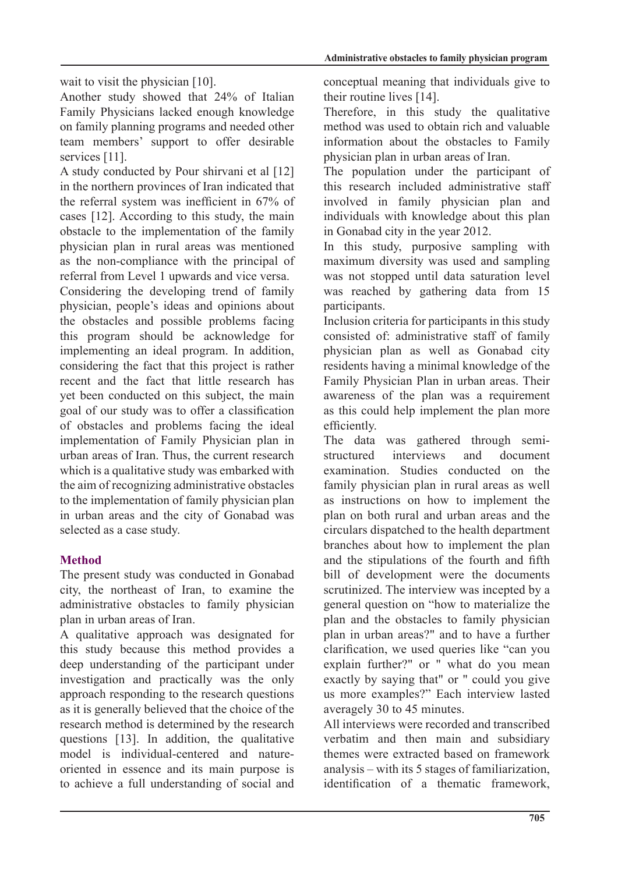wait to visit the physician  $[10]$ .

Another study showed that 24% of Italian Family Physicians lacked enough knowledge on family planning programs and needed other team members' support to offer desirable services [11].

A study conducted by Pour shirvani et al [12] in the northern provinces of Iran indicated that the referral system was inefficient in  $67\%$  of cases  $[12]$ . According to this study, the main obstacle to the implementation of the family physician plan in rural areas was mentioned as the non-compliance with the principal of referral from Level 1 upwards and vice versa.

Considering the developing trend of family physician, people's ideas and opinions about the obstacles and possible problems facing this program should be acknowledge for implementing an ideal program. In addition, considering the fact that this project is rather recent and the fact that little research has vet been conducted on this subject, the main goal of our study was to offer a classification of obstacles and problems facing the ideal implementation of Family Physician plan in urban areas of Iran. Thus, the current research which is a qualitative study was embarked with the aim of recognizing administrative obstacles to the implementation of family physician plan in urban areas and the city of Gonabad was selected as a case study.

# **Method**

The present study was conducted in Gonabad city, the northeast of Iran, to examine the administrative obstacles to family physician plan in urban areas of Iran.

A qualitative approach was designated for this study because this method provides a deep understanding of the participant under investigation and practically was the only approach responding to the research questions as it is generally believed that the choice of the research method is determined by the research questions [13]. In addition, the qualitative oriented in essence and its main purpose is model is individual-centered and natureto achieve a full understanding of social and conceptual meaning that individuals give to their routine lives  $[14]$ .

Therefore, in this study the qualitative method was used to obtain rich and valuable information about the obstacles to Family physician plan in urban areas of Iran.

The population under the participant of this research included administrative staff involved in family physician plan and individuals with knowledge about this plan in Gonabad city in the year 2012.

In this study, purposive sampling with maximum diversity was used and sampling was not stopped until data saturation level was reached by gathering data from 15 participants.

Inclusion criteria for participants in this study consisted of: administrative staff of family physician plan as well as Gonabad city residents having a minimal knowledge of the Family Physician Plan in urban areas. Their awareness of the plan was a requirement as this could help implement the plan more efficiently.

The data was gathered through semi-<br>structured interviews and document examination. Studies conducted on the family physician plan in rural areas as well as instructions on how to implement the plan on both rural and urban areas and the circulars dispatched to the health department branches about how to implement the plan and the stipulations of the fourth and fifth bill of development were the documents scrutinized. The interview was incepted by a general question on "how to materialize the plan and the obstacles to family physician plan in urban areas?" and to have a further clarification, we used queries like "can you explain further?" or " what do you mean exactly by saying that" or " could you give us more examples?" Each interview lasted averagely 30 to 45 minutes.

All interviews were recorded and transcribed verbatim and then main and subsidiary themes were extracted based on framework  $analysis - with its 5 stages of familiarization,$ identification of a thematic framework,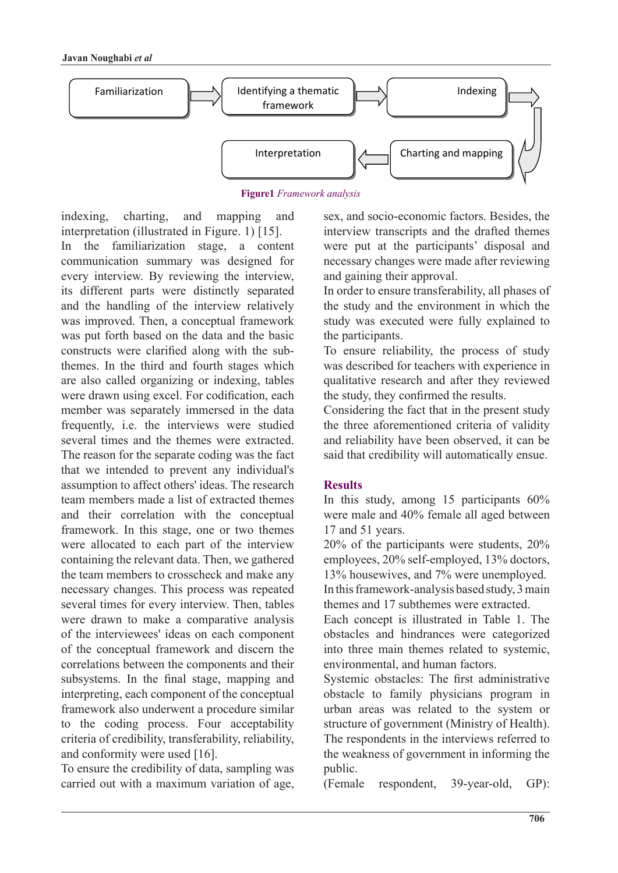

#### **Figure1** Framework analysis

indexing, charting, and mapping and interpretation (illustrated in Figure  $1$ ) [15]. In the familiarization stage, a content communication summary was designed for every interview. By reviewing the interview, its different parts were distinctly separated and the handling of the interview relatively was improved. Then, a conceptual framework was put forth based on the data and the basic themes. In the third and fourth stages which constructs were clarified along with the subare also called organizing or indexing, tables were drawn using excel. For codification, each member was separately immersed in the data frequently, i.e. the interviews were studied several times and the themes were extracted The reason for the separate coding was the fact that we intended to prevent any individual's assumption to affect others' ideas. The research team members made a list of extracted themes and their correlation with the conceptual framework. In this stage, one or two themes were allocated to each part of the interview containing the relevant data. Then, we gathered the team members to crosscheck and make any necessary changes. This process was repeated several times for every interview. Then, tables were drawn to make a comparative analysis of the interviewees' ideas on each component of the conceptual framework and discern the correlations between the components and their subsystems. In the final stage, mapping and interpreting, each component of the conceptual framework also underwent a procedure similar to the coding process. Four acceptability criteria of credibility, transferability, reliability, and conformity were used  $[16]$ .

To ensure the credibility of data, sampling was carried out with a maximum variation of age, sex, and socio-economic factors. Besides, the interview transcripts and the drafted themes were put at the participants' disposal and necessary changes were made after reviewing and gaining their approval.

In order to ensure transferability, all phases of the study and the environment in which the study was executed were fully explained to the participants.

To ensure reliability, the process of study was described for teachers with experience in qualitative research and after they reviewed the study, they confirmed the results.

Considering the fact that in the present study the three aforementioned criteria of validity and reliability have been observed, it can be said that credibility will automatically ensue.

# **Results**

In this study, among 15 participants  $60\%$ were male and 40% female all aged between  $17$  and  $51$  vears.

 $20\%$  of the participants were students,  $20\%$ employees, 20% self-employed, 13% doctors, 13% housewives, and 7% were unemployed.

In this framework-analysis based study, 3 main themes and 17 subthemes were extracted.

Each concept is illustrated in Table 1. The obstacles and hindrances were categorized into three main themes related to systemic. environmental, and human factors.

Systemic obstacles: The first administrative obstacle to family physicians program in urban areas was related to the system or structure of government (Ministry of Health). The respondents in the interviews referred to the weakness of government in informing the public.

(Female respondent, 39-year-old, GP):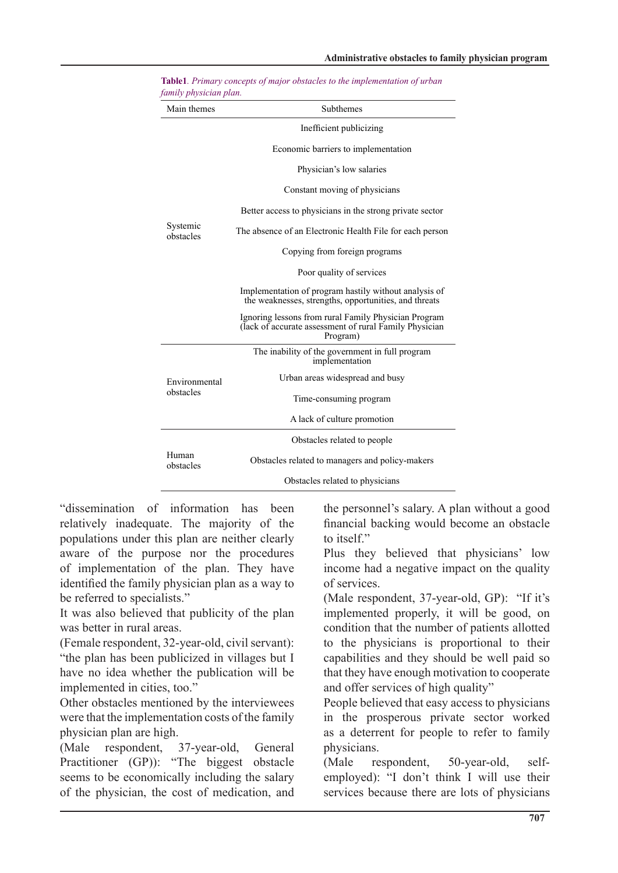| Main themes                | Subthemes                                                                                                                  |
|----------------------------|----------------------------------------------------------------------------------------------------------------------------|
| Systemic<br>obstacles      | Inefficient publicizing                                                                                                    |
|                            | Economic barriers to implementation                                                                                        |
|                            | Physician's low salaries                                                                                                   |
|                            | Constant moving of physicians                                                                                              |
|                            | Better access to physicians in the strong private sector                                                                   |
|                            | The absence of an Electronic Health File for each person                                                                   |
|                            | Copying from foreign programs                                                                                              |
|                            | Poor quality of services                                                                                                   |
|                            | Implementation of program hastily without analysis of<br>the weaknesses, strengths, opportunities, and threats             |
|                            | Ignoring lessons from rural Family Physician Program<br>(lack of accurate assessment of rural Family Physician<br>Program) |
| Environmental<br>obstacles | The inability of the government in full program<br>implementation                                                          |
|                            | Urban areas widespread and busy                                                                                            |
|                            | Time-consuming program                                                                                                     |
|                            | A lack of culture promotion                                                                                                |
| Human<br>obstacles         | Obstacles related to people                                                                                                |
|                            | Obstacles related to managers and policy-makers                                                                            |
|                            | Obstacles related to physicians                                                                                            |

**Table1**. Primary concepts of major obstacles to the implementation of urban *family physician plan.* 

"dissemination of information has been relatively inadequate. The majority of the populations under this plan are neither clearly aware of the purpose nor the procedures of implementation of the plan. They have identified the family physician plan as a way to be referred to specialists."

It was also believed that publicity of the plan was better in rural areas.

(Female respondent, 32-year-old, civil servant): "the plan has been publicized in villages but I have no idea whether the publication will be implemented in cities, too."

Other obstacles mentioned by the interviewees were that the implementation costs of the family physician plan are high.

(Male respondent, 37-year-old, General Practitioner  $(GP)$ : "The biggest obstacle seems to be economically including the salary of the physician, the cost of medication, and the personnel's salary. A plan without a good financial backing would become an obstacle to itself."

Plus they believed that physicians' low income had a negative impact on the quality of services

(Male respondent, 37-year-old, GP): "If it's implemented properly, it will be good, on condition that the number of patients allotted to the physicians is proportional to their capabilities and they should be well paid so that they have enough motivation to cooperate and offer services of high quality"

People believed that easy access to physicians in the prosperous private sector worked as a deterrent for people to refer to family physicians.

(Male respondent, 50-year-old, self-<br>employed): "I don't think I will use their 50-year-old, services because there are lots of physicians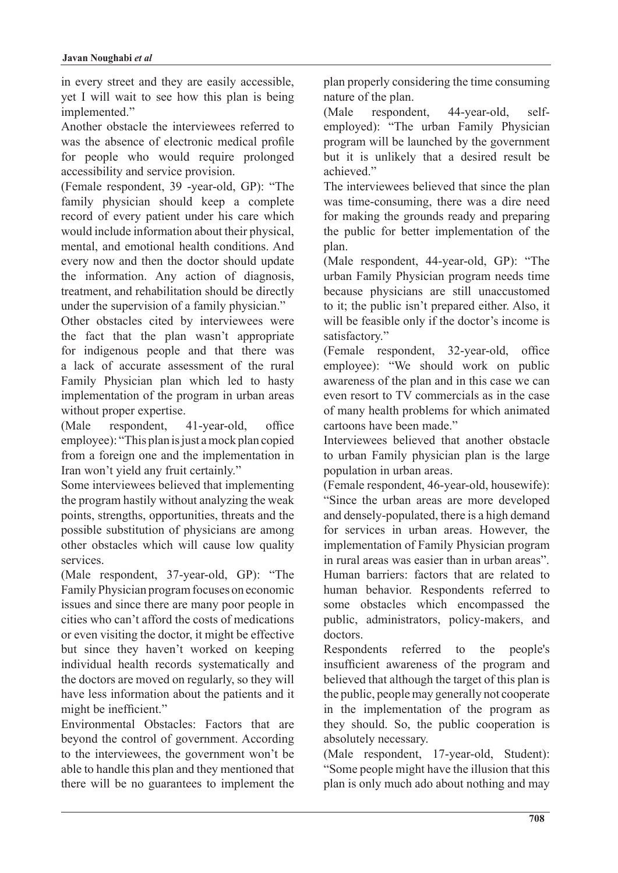in every street and they are easily accessible, yet I will wait to see how this plan is being implemented."

Another obstacle the interviewees referred to was the absence of electronic medical profile for people who would require prolonged accessibility and service provision.

(Female respondent,  $39$  -year-old, GP): "The family physician should keep a complete record of every patient under his care which would include information about their physical, mental, and emotional health conditions. And every now and then the doctor should update the information. Any action of diagnosis, treatment, and rehabilitation should be directly under the supervision of a family physician."

Other obstacles cited by interviewees were the fact that the plan wasn't appropriate for indigenous people and that there was a lack of accurate assessment of the rural Family Physician plan which led to hasty implementation of the program in urban areas without proper expertise.

 $(Male$  respondent, 41-year-old, office employee): "This plan is just a mock plan copied from a foreign one and the implementation in Iran won't yield any fruit certainly."

Some interviewees believed that implementing the program hastily without analyzing the weak points, strengths, opportunities, threats and the possible substitution of physicians are among other obstacles which will cause low quality .services

(Male respondent,  $37$ -year-old, GP): "The Family Physician program focuses on economic issues and since there are many poor people in cities who can't afford the costs of medications or even visiting the doctor, it might be effective but since they haven't worked on keeping individual health records systematically and the doctors are moved on regularly, so they will have less information about the patients and it might be inefficient."

Environmental Obstacles: Factors that are beyond the control of government. According to the interviewees, the government won't be able to handle this plan and they mentioned that there will be no guarantees to implement the plan properly considering the time consuming nature of the plan.

(Male respondent, 44-year-old, self-<br>employed): "The urban Family Physician 44-year-old, program will be launched by the government but it is unlikely that a desired result be achieved"

The interviewees believed that since the plan was time-consuming, there was a dire need for making the grounds ready and preparing the public for better implementation of the .plan

(Male respondent,  $44$ -year-old, GP): "The urban Family Physician program needs time because physicians are still unaccustomed to it; the public isn't prepared either. Also, it will be feasible only if the doctor's income is satisfactory."

(Female respondent, 32-year-old, office employee): "We should work on public awareness of the plan and in this case we can even resort to TV commercials as in the case of many health problems for which animated cartoons have been made."

Interviewees believed that another obstacle to urban Family physician plan is the large population in urban areas.

(Female respondent, 46-year-old, housewife): "Since the urban areas are more developed and densely-populated, there is a high demand for services in urban areas. However, the implementation of Family Physician program in rural areas was easier than in urban areas" Human barriers: factors that are related to human behavior. Respondents referred to some obstacles which encompassed the public, administrators, policy-makers, and .doctors

Respondents referred to the people's insufficient awareness of the program and believed that although the target of this plan is the public, people may generally not cooperate in the implementation of the program as they should. So, the public cooperation is absolutely necessary.

(Male respondent, 17-year-old, Student): "Some people might have the illusion that this plan is only much ado about nothing and may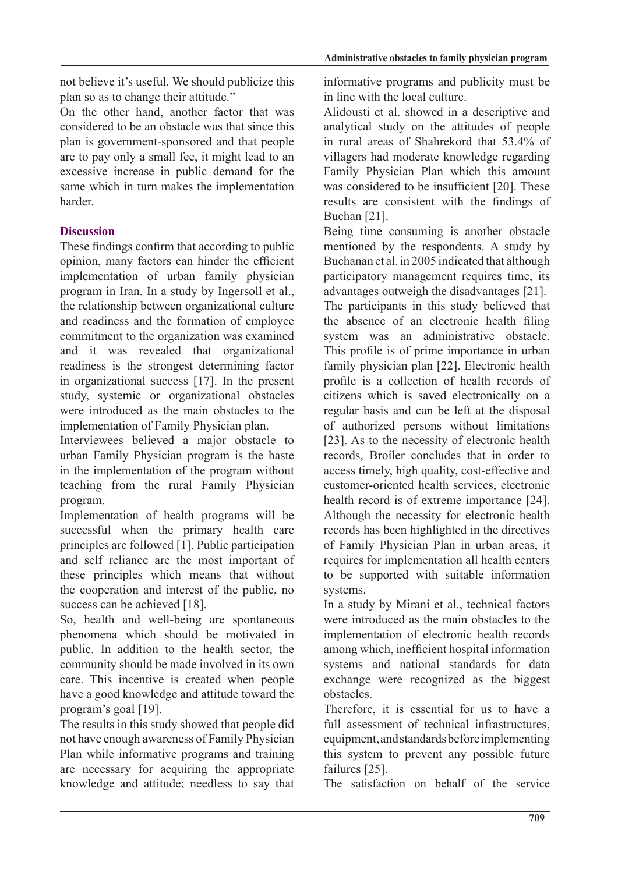not believe it's useful. We should publicize this plan so as to change their attitude."

On the other hand, another factor that was considered to be an obstacle was that since this plan is government-sponsored and that people are to pay only a small fee, it might lead to an excessive increase in public demand for the same which in turn makes the implementation .harder

# **Discussion**

These findings confirm that according to public opinion, many factors can hinder the efficient implementation of urban family physician program in Iran. In a study by Ingersoll et al., the relationship between organizational culture and readiness and the formation of employee commitment to the organization was examined and it was revealed that organizational readiness is the strongest determining factor in organizational success  $[17]$ . In the present study, systemic or organizational obstacles were introduced as the main obstacles to the implementation of Family Physician plan.

Interviewees believed a major obstacle to urban Family Physician program is the haste in the implementation of the program without teaching from the rural Family Physician program.

Implementation of health programs will be successful when the primary health care principles are followed  $[1]$ . Public participation and self reliance are the most important of these principles which means that without the cooperation and interest of the public, no success can be achieved [18].

So, health and well-being are spontaneous phenomena which should be motivated in public. In addition to the health sector, the community should be made involved in its own care. This incentive is created when people have a good knowledge and attitude toward the program's goal [19].

The results in this study showed that people did not have enough awareness of Family Physician Plan while informative programs and training are necessary for acquiring the appropriate knowledge and attitude; needless to say that informative programs and publicity must be in line with the local culture.

Alidousti et al. showed in a descriptive and analytical study on the attitudes of people in rural areas of Shahrekord that 53.4% of villagers had moderate knowledge regarding Family Physician Plan which this amount was considered to be insufficient [20]. These results are consistent with the findings of Buchan  $[21]$ .

Being time consuming is another obstacle mentioned by the respondents. A study by Buchanan et al. in 2005 indicated that although participatory management requires time, its advantages outweigh the disadvantages  $[21]$ . The participants in this study believed that the absence of an electronic health filing system was an administrative obstacle. This profile is of prime importance in urban family physician plan [22]. Electronic health profile is a collection of health records of citizens which is saved electronically on a regular basis and can be left at the disposal of authorized persons without limitations [23]. As to the necessity of electronic health records, Broiler concludes that in order to access timely, high quality, cost-effective and customer-oriented health services, electronic health record is of extreme importance [24]. Although the necessity for electronic health records has been highlighted in the directives of Family Physician Plan in urban areas, it requires for implementation all health centers to be supported with suitable information .systems

In a study by Mirani et al., technical factors were introduced as the main obstacles to the implementation of electronic health records among which, inefficient hospital information systems and national standards for data exchange were recognized as the biggest .obstacles

Therefore, it is essential for us to have a full assessment of technical infrastructures. equipment, and standards before implementing this system to prevent any possible future failures [25].

The satisfaction on behalf of the service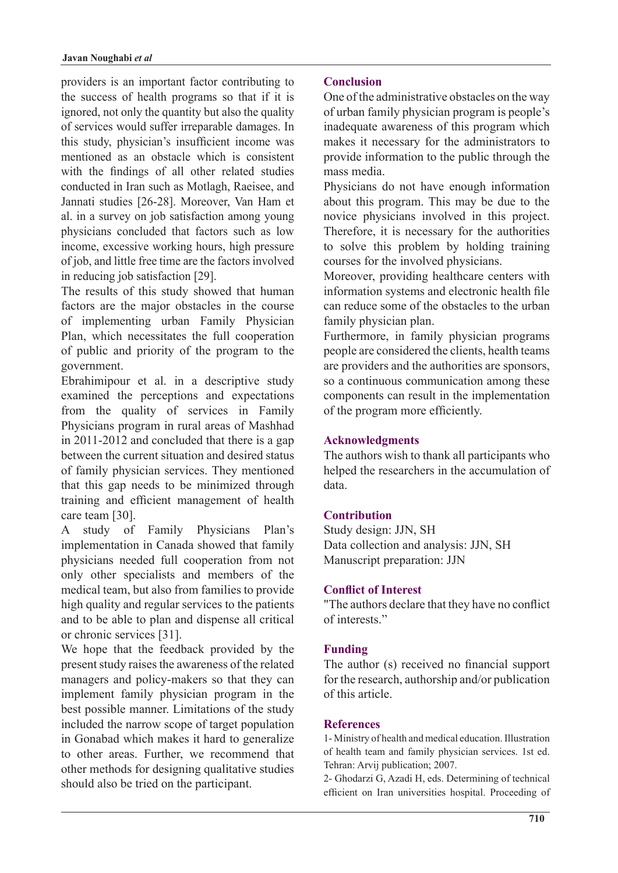providers is an important factor contributing to the success of health programs so that if it is ignored, not only the quantity but also the quality of services would suffer irreparable damages. In this study, physician's insufficient income was mentioned as an obstacle which is consistent with the findings of all other related studies conducted in Iran such as Motlagh, Raeisee, and Jannati studies [26-28]. Moreover, Van Ham et al. in a survey on job satisfaction among young physicians concluded that factors such as low income, excessive working hours, high pressure of job, and little free time are the factors involved in reducing job satisfaction [29].

The results of this study showed that human factors are the major obstacles in the course of implementing urban Family Physician Plan, which necessitates the full cooperation of public and priority of the program to the .government

Ebrahimipour et al. in a descriptive study examined the perceptions and expectations from the quality of services in Family Physicians program in rural areas of Mashhad in  $2011-2012$  and concluded that there is a gap between the current situation and desired status of family physician services. They mentioned that this gap needs to be minimized through training and efficient management of health care team [30].

A study of Family Physicians Plan's implementation in Canada showed that family physicians needed full cooperation from not only other specialists and members of the medical team, but also from families to provide high quality and regular services to the patients and to be able to plan and dispense all critical or chronic services [31].

We hope that the feedback provided by the present study raises the awareness of the related managers and policy-makers so that they can implement family physician program in the best possible manner. Limitations of the study included the narrow scope of target population in Gonabad which makes it hard to generalize to other areas. Further, we recommend that other methods for designing qualitative studies should also be tried on the participant.

# **Conclusion**

One of the administrative obstacles on the way of urban family physician program is people's inadequate awareness of this program which makes it necessary for the administrators to provide information to the public through the mass media.

Physicians do not have enough information about this program. This may be due to the novice physicians involved in this project. Therefore, it is necessary for the authorities to solve this problem by holding training courses for the involved physicians.

Moreover, providing healthcare centers with information systems and electronic health file can reduce some of the obstacles to the urban family physician plan.

Furthermore, in family physician programs people are considered the clients, health teams are providers and the authorities are sponsors, so a continuous communication among these components can result in the implementation of the program more efficiently.

# **Acknowledgments**

The authors wish to thank all participants who helped the researchers in the accumulation of .data

# **Contribution**

Study design: JJN, SH Data collection and analysis: JJN, SH Manuscript preparation: JJN

# **Conflict of Interest**

"The authors declare that they have no conflict of interests"

# **Funding**

The author (s) received no financial support for the research, authorship and/or publication of this article

# **References**

1- Ministry of health and medical education. Illustration of health team and family physician services. 1st ed. Tehran: Arvij publication; 2007.

2- Ghodarzi G, Azadi H, eds. Determining of technical efficient on Iran universities hospital. Proceeding of